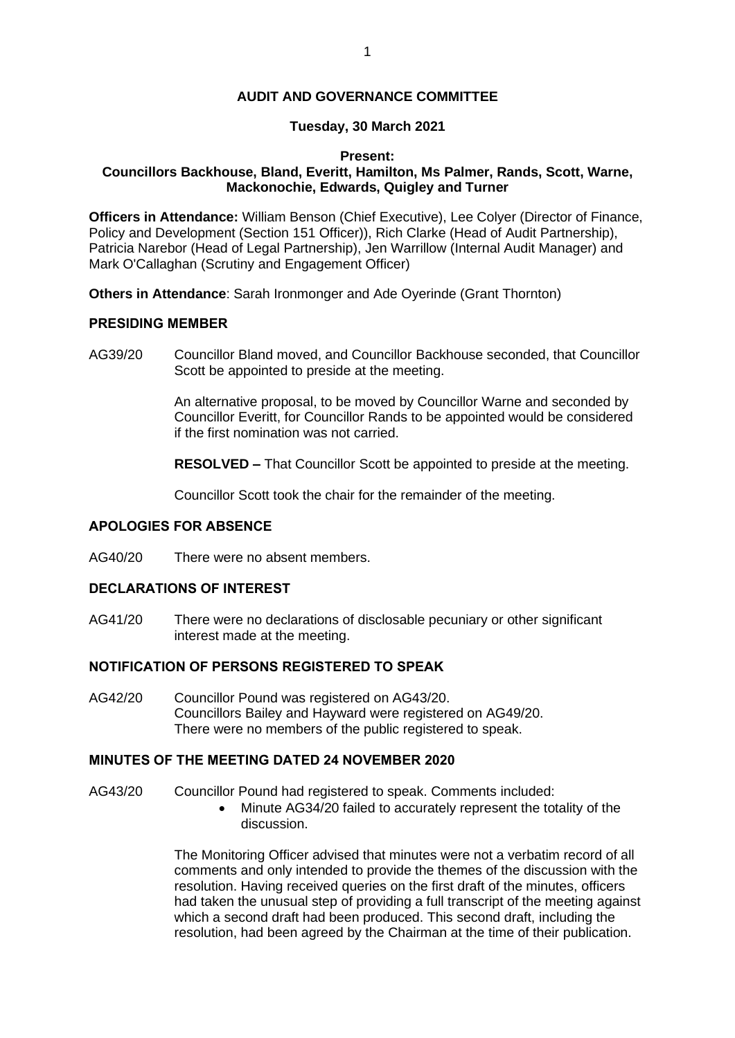#### **AUDIT AND GOVERNANCE COMMITTEE**

### **Tuesday, 30 March 2021**

#### **Present: Councillors Backhouse, Bland, Everitt, Hamilton, Ms Palmer, Rands, Scott, Warne, Mackonochie, Edwards, Quigley and Turner**

**Officers in Attendance:** William Benson (Chief Executive), Lee Colyer (Director of Finance, Policy and Development (Section 151 Officer)), Rich Clarke (Head of Audit Partnership), Patricia Narebor (Head of Legal Partnership), Jen Warrillow (Internal Audit Manager) and Mark O'Callaghan (Scrutiny and Engagement Officer)

**Others in Attendance**: Sarah Ironmonger and Ade Oyerinde (Grant Thornton)

### **PRESIDING MEMBER**

AG39/20 Councillor Bland moved, and Councillor Backhouse seconded, that Councillor Scott be appointed to preside at the meeting.

> An alternative proposal, to be moved by Councillor Warne and seconded by Councillor Everitt, for Councillor Rands to be appointed would be considered if the first nomination was not carried.

> **RESOLVED –** That Councillor Scott be appointed to preside at the meeting.

Councillor Scott took the chair for the remainder of the meeting.

#### **APOLOGIES FOR ABSENCE**

AG40/20 There were no absent members.

## **DECLARATIONS OF INTEREST**

AG41/20 There were no declarations of disclosable pecuniary or other significant interest made at the meeting.

## **NOTIFICATION OF PERSONS REGISTERED TO SPEAK**

AG42/20 Councillor Pound was registered on AG43/20. Councillors Bailey and Hayward were registered on AG49/20. There were no members of the public registered to speak.

### **MINUTES OF THE MEETING DATED 24 NOVEMBER 2020**

- AG43/20 Councillor Pound had registered to speak. Comments included:
	- Minute AG34/20 failed to accurately represent the totality of the discussion.

The Monitoring Officer advised that minutes were not a verbatim record of all comments and only intended to provide the themes of the discussion with the resolution. Having received queries on the first draft of the minutes, officers had taken the unusual step of providing a full transcript of the meeting against which a second draft had been produced. This second draft, including the resolution, had been agreed by the Chairman at the time of their publication.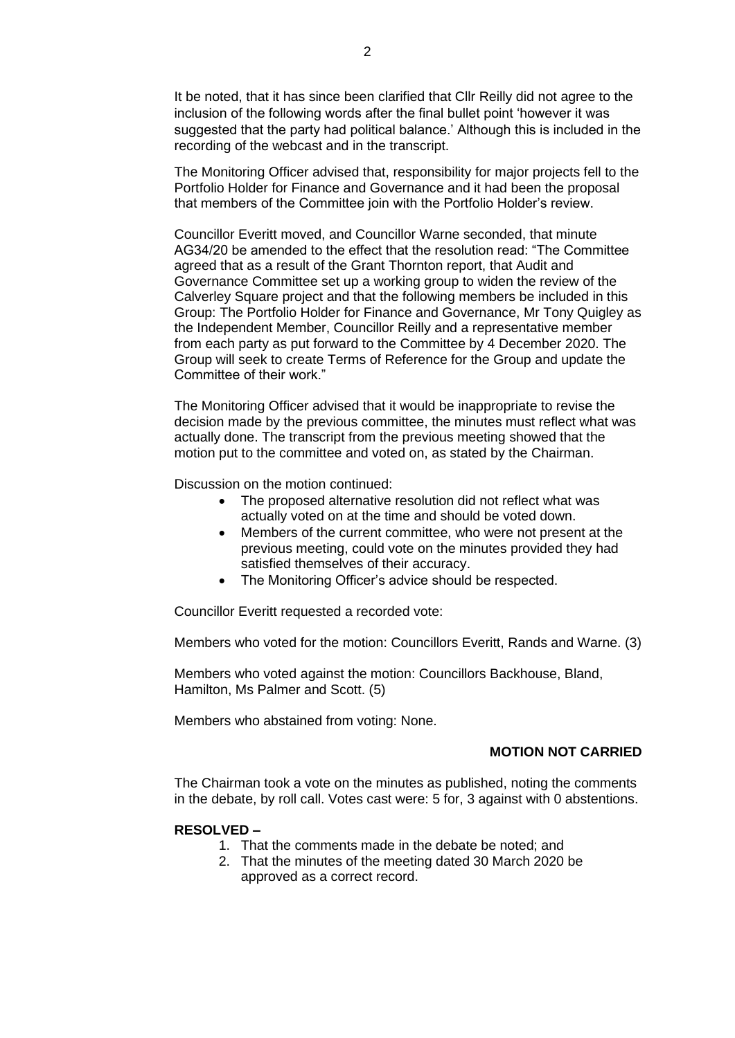It be noted, that it has since been clarified that Cllr Reilly did not agree to the inclusion of the following words after the final bullet point 'however it was suggested that the party had political balance.' Although this is included in the recording of the webcast and in the transcript.

The Monitoring Officer advised that, responsibility for major projects fell to the Portfolio Holder for Finance and Governance and it had been the proposal that members of the Committee join with the Portfolio Holder's review.

Councillor Everitt moved, and Councillor Warne seconded, that minute AG34/20 be amended to the effect that the resolution read: "The Committee agreed that as a result of the Grant Thornton report, that Audit and Governance Committee set up a working group to widen the review of the Calverley Square project and that the following members be included in this Group: The Portfolio Holder for Finance and Governance, Mr Tony Quigley as the Independent Member, Councillor Reilly and a representative member from each party as put forward to the Committee by 4 December 2020. The Group will seek to create Terms of Reference for the Group and update the Committee of their work."

The Monitoring Officer advised that it would be inappropriate to revise the decision made by the previous committee, the minutes must reflect what was actually done. The transcript from the previous meeting showed that the motion put to the committee and voted on, as stated by the Chairman.

Discussion on the motion continued:

- The proposed alternative resolution did not reflect what was actually voted on at the time and should be voted down.
- Members of the current committee, who were not present at the previous meeting, could vote on the minutes provided they had satisfied themselves of their accuracy.
- The Monitoring Officer's advice should be respected.

Councillor Everitt requested a recorded vote:

Members who voted for the motion: Councillors Everitt, Rands and Warne. (3)

Members who voted against the motion: Councillors Backhouse, Bland, Hamilton, Ms Palmer and Scott. (5)

Members who abstained from voting: None.

## **MOTION NOT CARRIED**

The Chairman took a vote on the minutes as published, noting the comments in the debate, by roll call. Votes cast were: 5 for, 3 against with 0 abstentions.

#### **RESOLVED –**

- 1. That the comments made in the debate be noted; and
- 2. That the minutes of the meeting dated 30 March 2020 be approved as a correct record.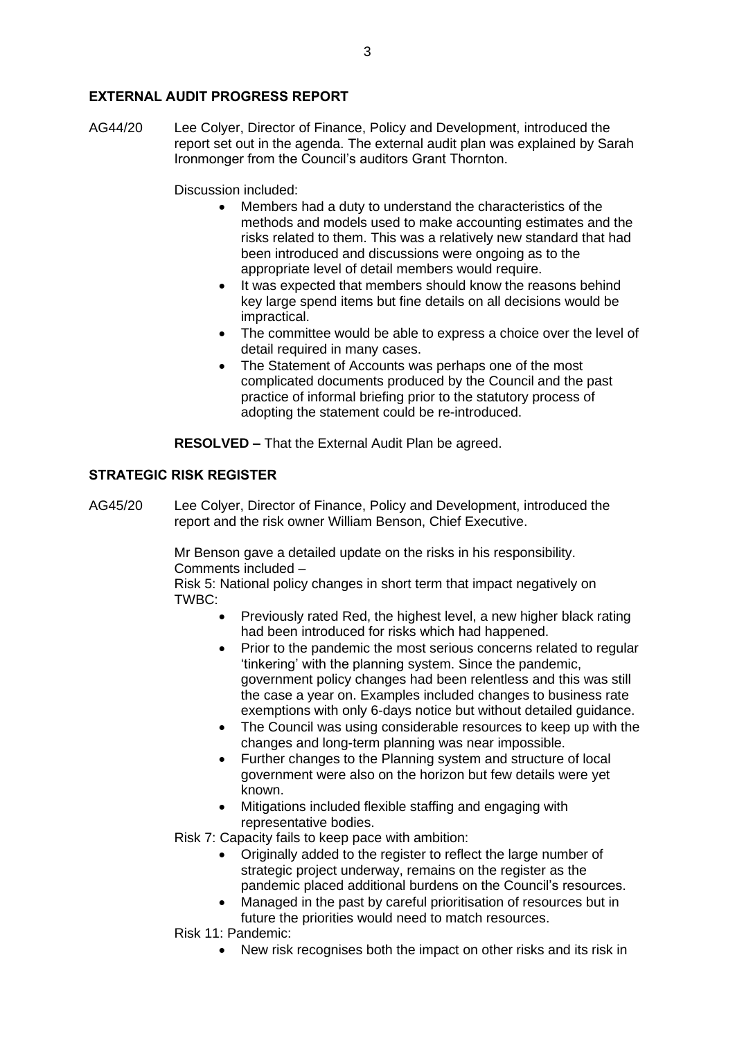### **EXTERNAL AUDIT PROGRESS REPORT**

AG44/20 Lee Colyer, Director of Finance, Policy and Development, introduced the report set out in the agenda. The external audit plan was explained by Sarah Ironmonger from the Council's auditors Grant Thornton.

### Discussion included:

- Members had a duty to understand the characteristics of the methods and models used to make accounting estimates and the risks related to them. This was a relatively new standard that had been introduced and discussions were ongoing as to the appropriate level of detail members would require.
- It was expected that members should know the reasons behind key large spend items but fine details on all decisions would be impractical.
- The committee would be able to express a choice over the level of detail required in many cases.
- The Statement of Accounts was perhaps one of the most complicated documents produced by the Council and the past practice of informal briefing prior to the statutory process of adopting the statement could be re-introduced.

**RESOLVED –** That the External Audit Plan be agreed.

### **STRATEGIC RISK REGISTER**

AG45/20 Lee Colyer, Director of Finance, Policy and Development, introduced the report and the risk owner William Benson, Chief Executive.

> Mr Benson gave a detailed update on the risks in his responsibility. Comments included –

Risk 5: National policy changes in short term that impact negatively on TWBC:

- Previously rated Red, the highest level, a new higher black rating had been introduced for risks which had happened.
- Prior to the pandemic the most serious concerns related to regular 'tinkering' with the planning system. Since the pandemic, government policy changes had been relentless and this was still the case a year on. Examples included changes to business rate exemptions with only 6-days notice but without detailed guidance.
- The Council was using considerable resources to keep up with the changes and long-term planning was near impossible.
- Further changes to the Planning system and structure of local government were also on the horizon but few details were yet known.
- Mitigations included flexible staffing and engaging with representative bodies.

Risk 7: Capacity fails to keep pace with ambition:

- Originally added to the register to reflect the large number of strategic project underway, remains on the register as the pandemic placed additional burdens on the Council's resources.
- Managed in the past by careful prioritisation of resources but in future the priorities would need to match resources.

Risk 11: Pandemic:

• New risk recognises both the impact on other risks and its risk in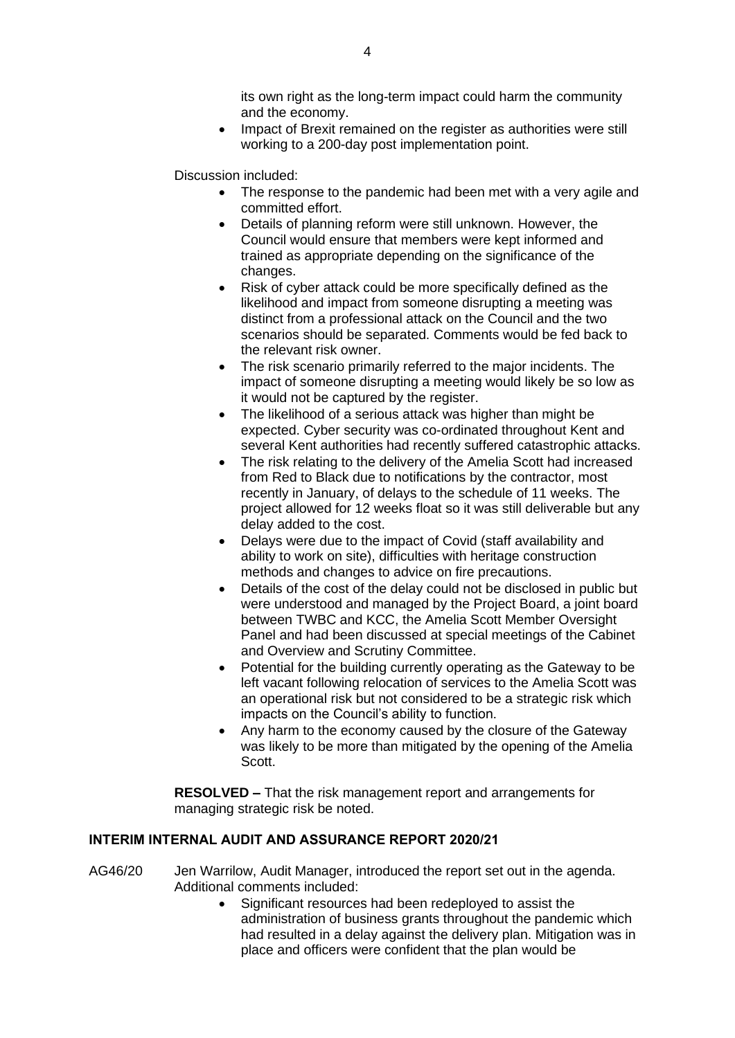its own right as the long-term impact could harm the community and the economy.

• Impact of Brexit remained on the register as authorities were still working to a 200-day post implementation point.

Discussion included:

- The response to the pandemic had been met with a very agile and committed effort.
- Details of planning reform were still unknown. However, the Council would ensure that members were kept informed and trained as appropriate depending on the significance of the changes.
- Risk of cyber attack could be more specifically defined as the likelihood and impact from someone disrupting a meeting was distinct from a professional attack on the Council and the two scenarios should be separated. Comments would be fed back to the relevant risk owner.
- The risk scenario primarily referred to the major incidents. The impact of someone disrupting a meeting would likely be so low as it would not be captured by the register.
- The likelihood of a serious attack was higher than might be expected. Cyber security was co-ordinated throughout Kent and several Kent authorities had recently suffered catastrophic attacks.
- The risk relating to the delivery of the Amelia Scott had increased from Red to Black due to notifications by the contractor, most recently in January, of delays to the schedule of 11 weeks. The project allowed for 12 weeks float so it was still deliverable but any delay added to the cost.
- Delays were due to the impact of Covid (staff availability and ability to work on site), difficulties with heritage construction methods and changes to advice on fire precautions.
- Details of the cost of the delay could not be disclosed in public but were understood and managed by the Project Board, a joint board between TWBC and KCC, the Amelia Scott Member Oversight Panel and had been discussed at special meetings of the Cabinet and Overview and Scrutiny Committee.
- Potential for the building currently operating as the Gateway to be left vacant following relocation of services to the Amelia Scott was an operational risk but not considered to be a strategic risk which impacts on the Council's ability to function.
- Any harm to the economy caused by the closure of the Gateway was likely to be more than mitigated by the opening of the Amelia Scott.

**RESOLVED –** That the risk management report and arrangements for managing strategic risk be noted.

## **INTERIM INTERNAL AUDIT AND ASSURANCE REPORT 2020/21**

- AG46/20 Jen Warrilow, Audit Manager, introduced the report set out in the agenda. Additional comments included:
	- Significant resources had been redeployed to assist the administration of business grants throughout the pandemic which had resulted in a delay against the delivery plan. Mitigation was in place and officers were confident that the plan would be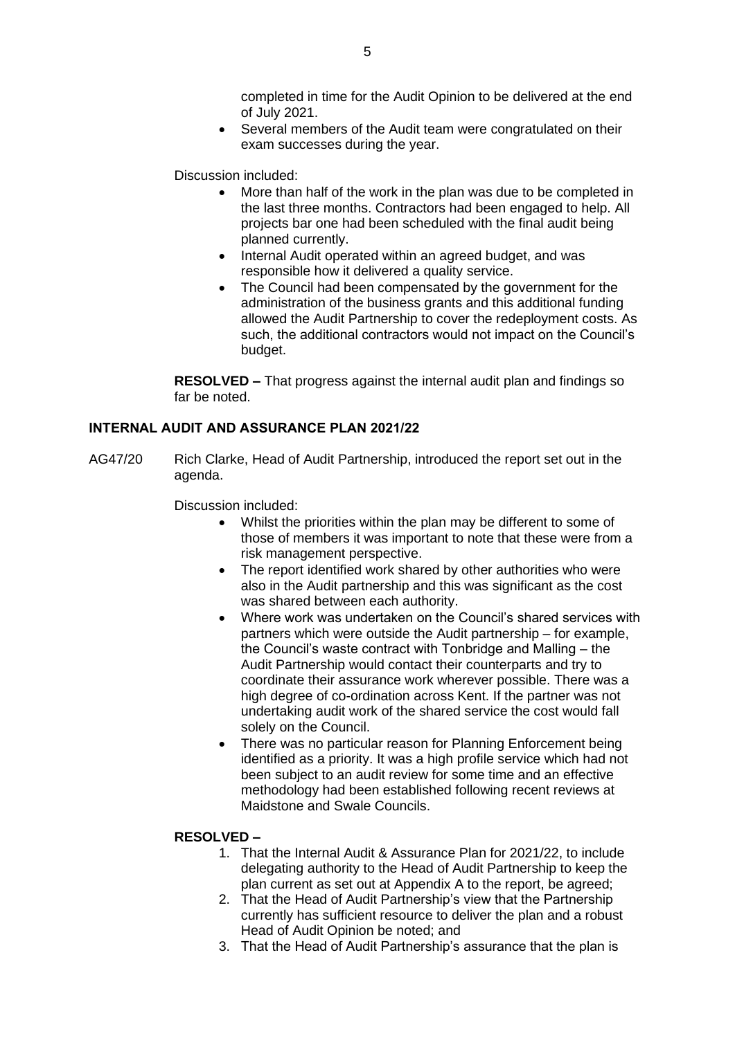completed in time for the Audit Opinion to be delivered at the end of July 2021.

• Several members of the Audit team were congratulated on their exam successes during the year.

Discussion included:

- More than half of the work in the plan was due to be completed in the last three months. Contractors had been engaged to help. All projects bar one had been scheduled with the final audit being planned currently.
- Internal Audit operated within an agreed budget, and was responsible how it delivered a quality service.
- The Council had been compensated by the government for the administration of the business grants and this additional funding allowed the Audit Partnership to cover the redeployment costs. As such, the additional contractors would not impact on the Council's budget.

**RESOLVED –** That progress against the internal audit plan and findings so far be noted.

### **INTERNAL AUDIT AND ASSURANCE PLAN 2021/22**

AG47/20 Rich Clarke, Head of Audit Partnership, introduced the report set out in the agenda.

Discussion included:

- Whilst the priorities within the plan may be different to some of those of members it was important to note that these were from a risk management perspective.
- The report identified work shared by other authorities who were also in the Audit partnership and this was significant as the cost was shared between each authority.
- Where work was undertaken on the Council's shared services with partners which were outside the Audit partnership – for example, the Council's waste contract with Tonbridge and Malling – the Audit Partnership would contact their counterparts and try to coordinate their assurance work wherever possible. There was a high degree of co-ordination across Kent. If the partner was not undertaking audit work of the shared service the cost would fall solely on the Council.
- There was no particular reason for Planning Enforcement being identified as a priority. It was a high profile service which had not been subject to an audit review for some time and an effective methodology had been established following recent reviews at Maidstone and Swale Councils.

#### **RESOLVED –**

- 1. That the Internal Audit & Assurance Plan for 2021/22, to include delegating authority to the Head of Audit Partnership to keep the plan current as set out at Appendix A to the report, be agreed;
- 2. That the Head of Audit Partnership's view that the Partnership currently has sufficient resource to deliver the plan and a robust Head of Audit Opinion be noted; and
- 3. That the Head of Audit Partnership's assurance that the plan is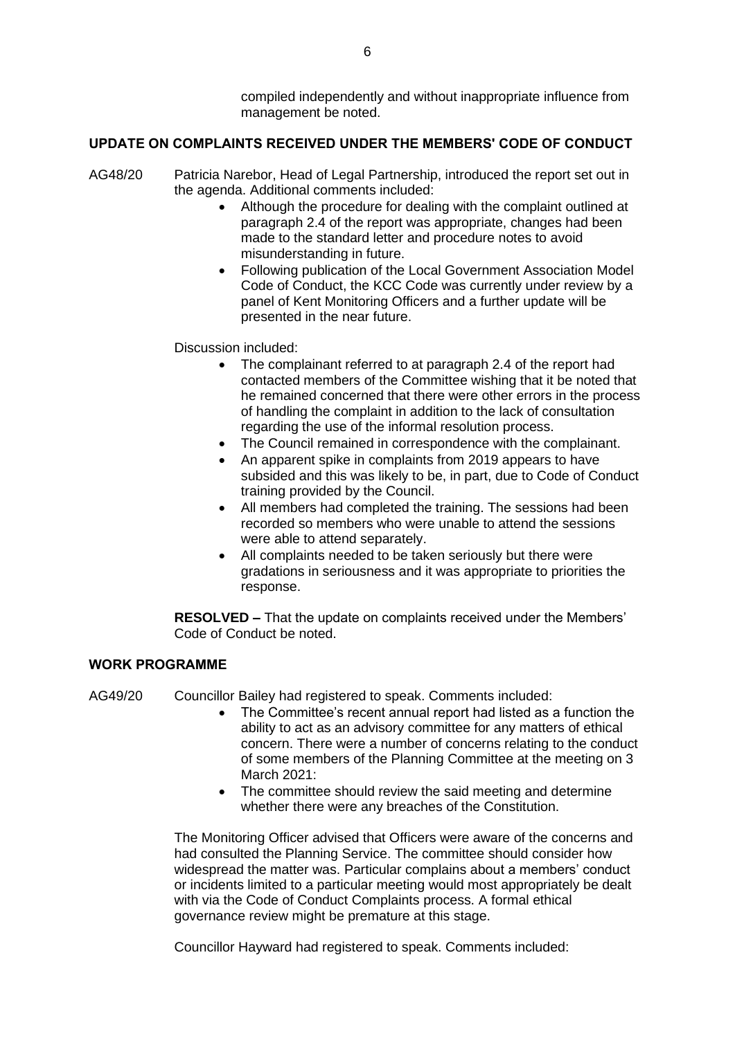compiled independently and without inappropriate influence from management be noted.

## **UPDATE ON COMPLAINTS RECEIVED UNDER THE MEMBERS' CODE OF CONDUCT**

- AG48/20 Patricia Narebor, Head of Legal Partnership, introduced the report set out in the agenda. Additional comments included:
	- Although the procedure for dealing with the complaint outlined at paragraph 2.4 of the report was appropriate, changes had been made to the standard letter and procedure notes to avoid misunderstanding in future.
	- Following publication of the Local Government Association Model Code of Conduct, the KCC Code was currently under review by a panel of Kent Monitoring Officers and a further update will be presented in the near future.

Discussion included:

- The complainant referred to at paragraph 2.4 of the report had contacted members of the Committee wishing that it be noted that he remained concerned that there were other errors in the process of handling the complaint in addition to the lack of consultation regarding the use of the informal resolution process.
- The Council remained in correspondence with the complainant.
- An apparent spike in complaints from 2019 appears to have subsided and this was likely to be, in part, due to Code of Conduct training provided by the Council.
- All members had completed the training. The sessions had been recorded so members who were unable to attend the sessions were able to attend separately.
- All complaints needed to be taken seriously but there were gradations in seriousness and it was appropriate to priorities the response.

**RESOLVED –** That the update on complaints received under the Members' Code of Conduct be noted.

## **WORK PROGRAMME**

AG49/20 Councillor Bailey had registered to speak. Comments included:

- The Committee's recent annual report had listed as a function the ability to act as an advisory committee for any matters of ethical concern. There were a number of concerns relating to the conduct of some members of the Planning Committee at the meeting on 3 March 2021:
- The committee should review the said meeting and determine whether there were any breaches of the Constitution.

The Monitoring Officer advised that Officers were aware of the concerns and had consulted the Planning Service. The committee should consider how widespread the matter was. Particular complains about a members' conduct or incidents limited to a particular meeting would most appropriately be dealt with via the Code of Conduct Complaints process. A formal ethical governance review might be premature at this stage.

Councillor Hayward had registered to speak. Comments included: